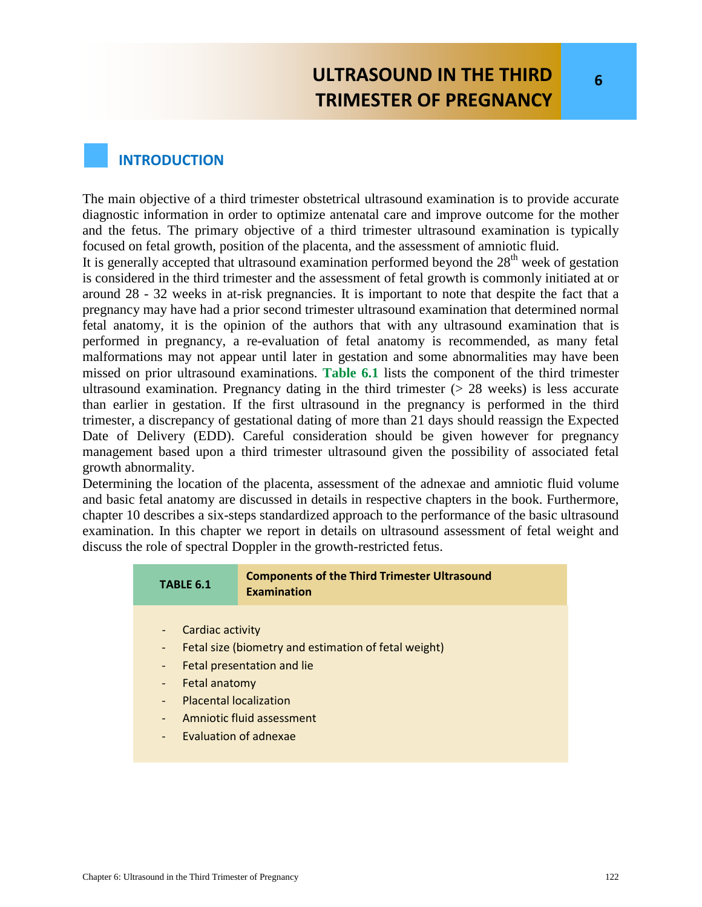### **INTRODUCTION**

The main objective of a third trimester obstetrical ultrasound examination is to provide accurate diagnostic information in order to optimize antenatal care and improve outcome for the mother and the fetus. The primary objective of a third trimester ultrasound examination is typically focused on fetal growth, position of the placenta, and the assessment of amniotic fluid.

It is generally accepted that ultrasound examination performed beyond the  $28<sup>th</sup>$  week of gestation is considered in the third trimester and the assessment of fetal growth is commonly initiated at or around 28 - 32 weeks in at-risk pregnancies. It is important to note that despite the fact that a pregnancy may have had a prior second trimester ultrasound examination that determined normal fetal anatomy, it is the opinion of the authors that with any ultrasound examination that is performed in pregnancy, a re-evaluation of fetal anatomy is recommended, as many fetal malformations may not appear until later in gestation and some abnormalities may have been missed on prior ultrasound examinations. **Table 6.1** lists the component of the third trimester ultrasound examination. Pregnancy dating in the third trimester  $(28 \text{ weeks})$  is less accurate than earlier in gestation. If the first ultrasound in the pregnancy is performed in the third trimester, a discrepancy of gestational dating of more than 21 days should reassign the Expected Date of Delivery (EDD). Careful consideration should be given however for pregnancy management based upon a third trimester ultrasound given the possibility of associated fetal growth abnormality.

Determining the location of the placenta, assessment of the adnexae and amniotic fluid volume and basic fetal anatomy are discussed in details in respective chapters in the book. Furthermore, chapter 10 describes a six-steps standardized approach to the performance of the basic ultrasound examination. In this chapter we report in details on ultrasound assessment of fetal weight and discuss the role of spectral Doppler in the growth-restricted fetus.

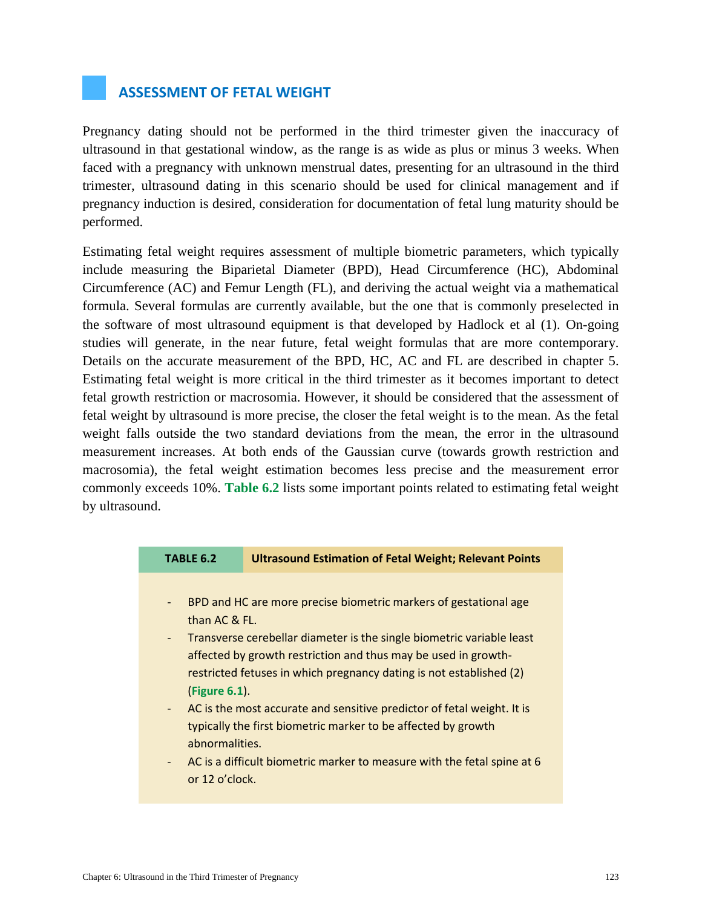### **ASSESSMENT OF FETAL WEIGHT**

Pregnancy dating should not be performed in the third trimester given the inaccuracy of ultrasound in that gestational window, as the range is as wide as plus or minus 3 weeks. When faced with a pregnancy with unknown menstrual dates, presenting for an ultrasound in the third trimester, ultrasound dating in this scenario should be used for clinical management and if pregnancy induction is desired, consideration for documentation of fetal lung maturity should be performed.

Estimating fetal weight requires assessment of multiple biometric parameters, which typically include measuring the Biparietal Diameter (BPD), Head Circumference (HC), Abdominal Circumference (AC) and Femur Length (FL), and deriving the actual weight via a mathematical formula. Several formulas are currently available, but the one that is commonly preselected in the software of most ultrasound equipment is that developed by Hadlock et al (1). On-going studies will generate, in the near future, fetal weight formulas that are more contemporary. Details on the accurate measurement of the BPD, HC, AC and FL are described in chapter 5. Estimating fetal weight is more critical in the third trimester as it becomes important to detect fetal growth restriction or macrosomia. However, it should be considered that the assessment of fetal weight by ultrasound is more precise, the closer the fetal weight is to the mean. As the fetal weight falls outside the two standard deviations from the mean, the error in the ultrasound measurement increases. At both ends of the Gaussian curve (towards growth restriction and macrosomia), the fetal weight estimation becomes less precise and the measurement error commonly exceeds 10%. **Table 6.2** lists some important points related to estimating fetal weight by ultrasound.

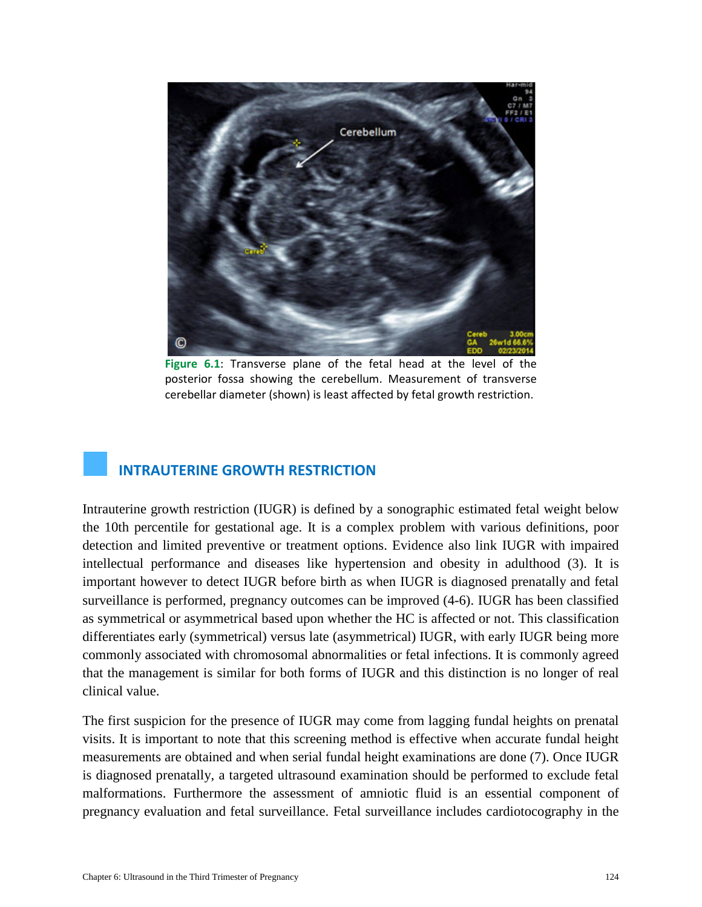

**Figure 6.1**: Transverse plane of the fetal head at the level of the posterior fossa showing the cerebellum. Measurement of transverse cerebellar diameter (shown) is least affected by fetal growth restriction.

# **INTRAUTERINE GROWTH RESTRICTION**

Intrauterine growth restriction (IUGR) is defined by a sonographic estimated fetal weight below the 10th percentile for gestational age. It is a complex problem with various definitions, poor detection and limited preventive or treatment options. Evidence also link IUGR with impaired intellectual performance and diseases like hypertension and obesity in adulthood (3). It is important however to detect IUGR before birth as when IUGR is diagnosed prenatally and fetal surveillance is performed, pregnancy outcomes can be improved (4-6). IUGR has been classified as symmetrical or asymmetrical based upon whether the HC is affected or not. This classification differentiates early (symmetrical) versus late (asymmetrical) IUGR, with early IUGR being more commonly associated with chromosomal abnormalities or fetal infections. It is commonly agreed that the management is similar for both forms of IUGR and this distinction is no longer of real clinical value.

The first suspicion for the presence of IUGR may come from lagging fundal heights on prenatal visits. It is important to note that this screening method is effective when accurate fundal height measurements are obtained and when serial fundal height examinations are done (7). Once IUGR is diagnosed prenatally, a targeted ultrasound examination should be performed to exclude fetal malformations. Furthermore the assessment of amniotic fluid is an essential component of pregnancy evaluation and fetal surveillance. Fetal surveillance includes cardiotocography in the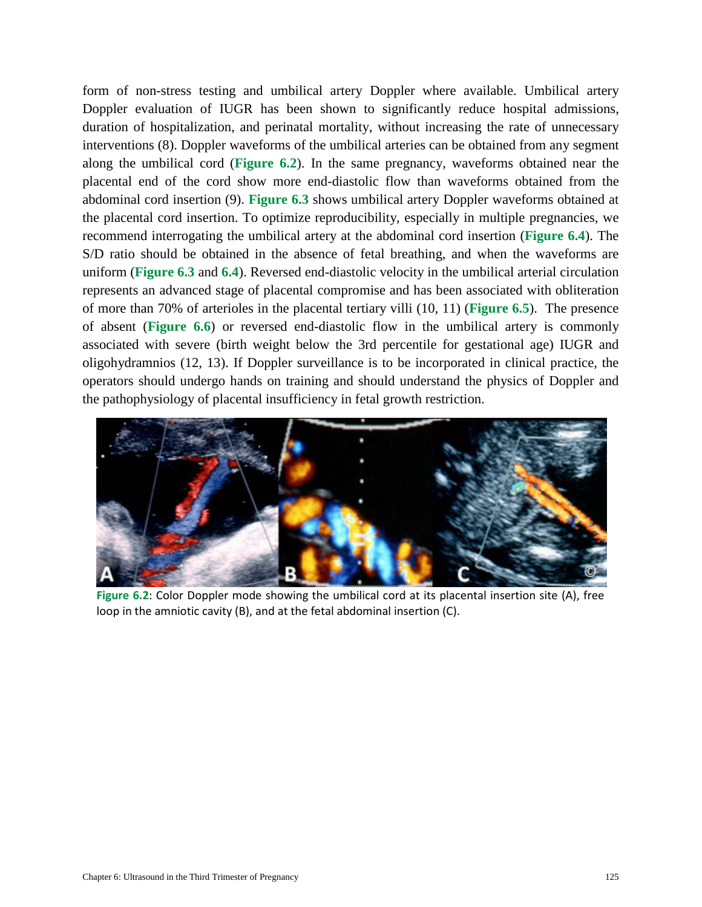form of non-stress testing and umbilical artery Doppler where available. Umbilical artery Doppler evaluation of IUGR has been shown to significantly reduce hospital admissions, duration of hospitalization, and perinatal mortality, without increasing the rate of unnecessary interventions (8). Doppler waveforms of the umbilical arteries can be obtained from any segment along the umbilical cord (**Figure 6.2**). In the same pregnancy, waveforms obtained near the placental end of the cord show more end-diastolic flow than waveforms obtained from the abdominal cord insertion (9). **Figure 6.3** shows umbilical artery Doppler waveforms obtained at the placental cord insertion. To optimize reproducibility, especially in multiple pregnancies, we recommend interrogating the umbilical artery at the abdominal cord insertion (**Figure 6.4**). The S/D ratio should be obtained in the absence of fetal breathing, and when the waveforms are uniform (**Figure 6.3** and **6.4**). Reversed end-diastolic velocity in the umbilical arterial circulation represents an advanced stage of placental compromise and has been associated with obliteration of more than 70% of arterioles in the placental tertiary villi (10, 11) (**Figure 6.5**). The presence of absent (**Figure 6.6**) or reversed end-diastolic flow in the umbilical artery is commonly associated with severe (birth weight below the 3rd percentile for gestational age) IUGR and oligohydramnios (12, 13). If Doppler surveillance is to be incorporated in clinical practice, the operators should undergo hands on training and should understand the physics of Doppler and the pathophysiology of placental insufficiency in fetal growth restriction.



**Figure 6.2**: Color Doppler mode showing the umbilical cord at its placental insertion site (A), free loop in the amniotic cavity (B), and at the fetal abdominal insertion (C).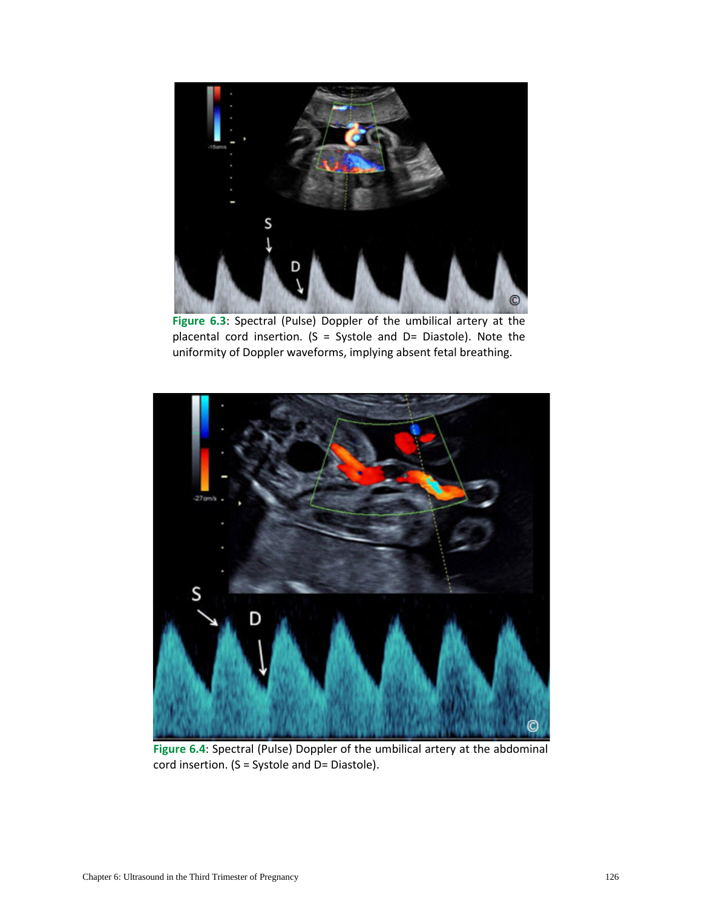

**Figure 6.3**: Spectral (Pulse) Doppler of the umbilical artery at the placental cord insertion. (S = Systole and D= Diastole). Note the uniformity of Doppler waveforms, implying absent fetal breathing.



**Figure 6.4**: Spectral (Pulse) Doppler of the umbilical artery at the abdominal cord insertion. (S = Systole and D= Diastole).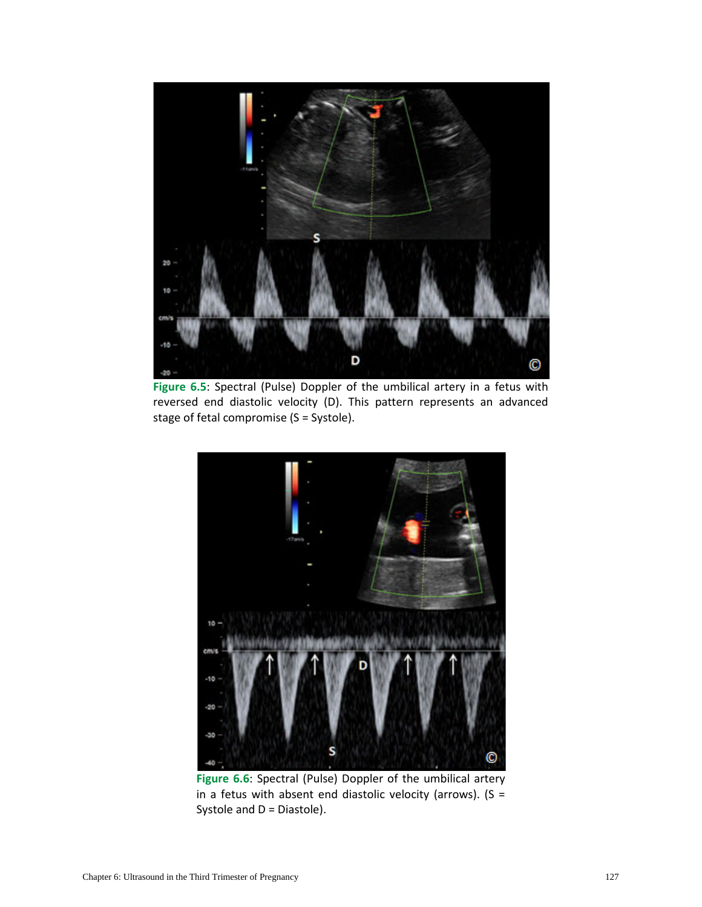

**Figure 6.5**: Spectral (Pulse) Doppler of the umbilical artery in a fetus with reversed end diastolic velocity (D). This pattern represents an advanced stage of fetal compromise (S = Systole).



**Figure 6.6**: Spectral (Pulse) Doppler of the umbilical artery in a fetus with absent end diastolic velocity (arrows).  $(S =$ Systole and D = Diastole).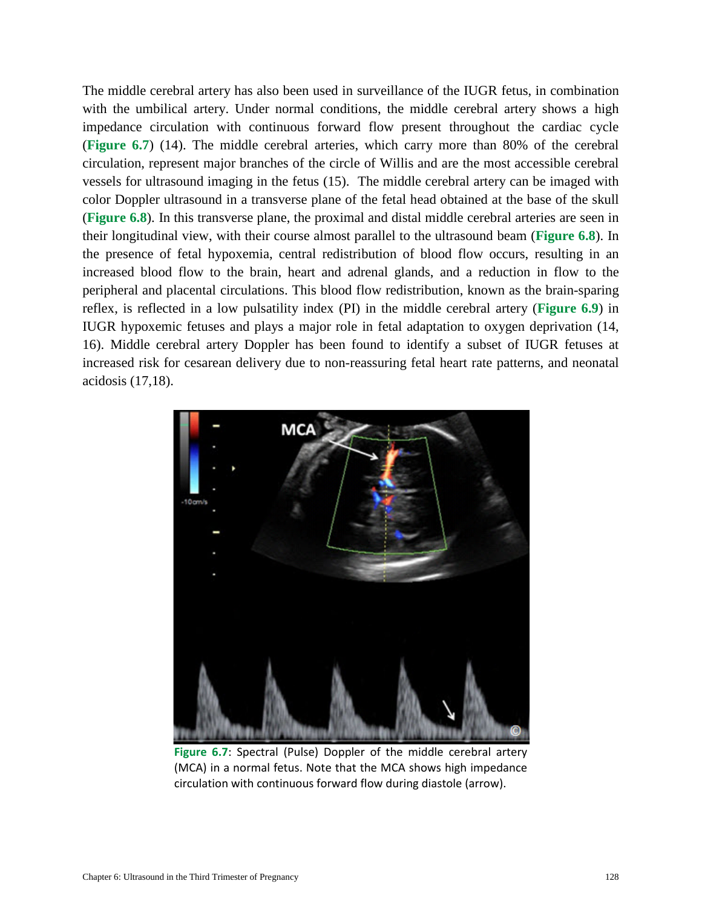The middle cerebral artery has also been used in surveillance of the IUGR fetus, in combination with the umbilical artery. Under normal conditions, the middle cerebral artery shows a high impedance circulation with continuous forward flow present throughout the cardiac cycle (**Figure 6.7**) (14). The middle cerebral arteries, which carry more than 80% of the cerebral circulation, represent major branches of the circle of Willis and are the most accessible cerebral vessels for ultrasound imaging in the fetus (15). The middle cerebral artery can be imaged with color Doppler ultrasound in a transverse plane of the fetal head obtained at the base of the skull (**Figure 6.8**). In this transverse plane, the proximal and distal middle cerebral arteries are seen in their longitudinal view, with their course almost parallel to the ultrasound beam (**Figure 6.8**). In the presence of fetal hypoxemia, central redistribution of blood flow occurs, resulting in an increased blood flow to the brain, heart and adrenal glands, and a reduction in flow to the peripheral and placental circulations. This blood flow redistribution, known as the brain-sparing reflex, is reflected in a low pulsatility index (PI) in the middle cerebral artery (**Figure 6.9**) in IUGR hypoxemic fetuses and plays a major role in fetal adaptation to oxygen deprivation (14, 16). Middle cerebral artery Doppler has been found to identify a subset of IUGR fetuses at increased risk for cesarean delivery due to non-reassuring fetal heart rate patterns, and neonatal acidosis (17,18).



**Figure 6.7**: Spectral (Pulse) Doppler of the middle cerebral artery (MCA) in a normal fetus. Note that the MCA shows high impedance circulation with continuous forward flow during diastole (arrow).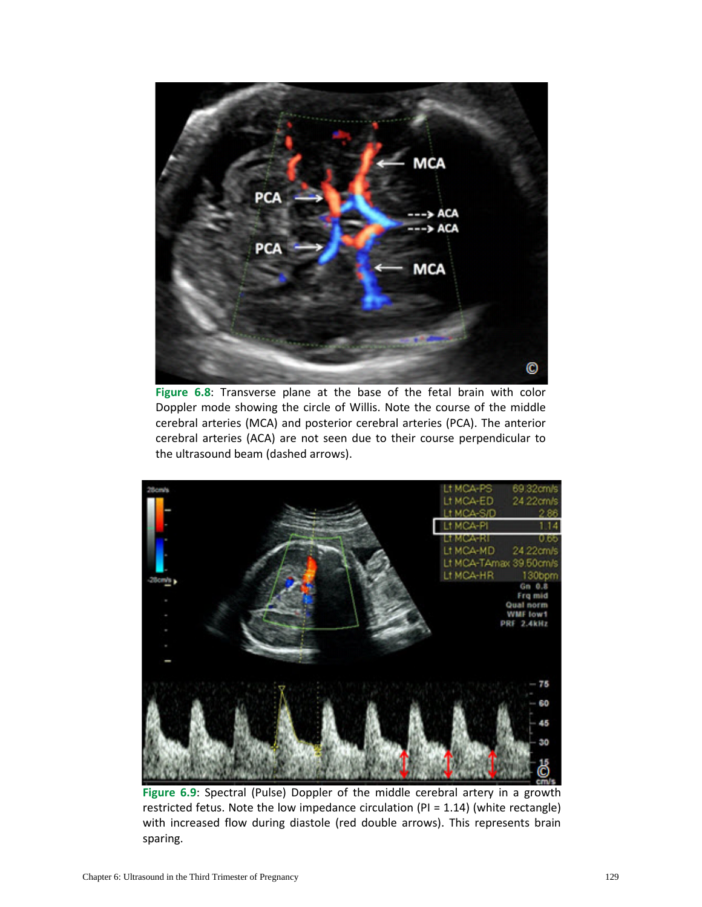

**Figure 6.8**: Transverse plane at the base of the fetal brain with color Doppler mode showing the circle of Willis. Note the course of the middle cerebral arteries (MCA) and posterior cerebral arteries (PCA). The anterior cerebral arteries (ACA) are not seen due to their course perpendicular to the ultrasound beam (dashed arrows).



**Figure 6.9**: Spectral (Pulse) Doppler of the middle cerebral artery in a growth restricted fetus. Note the low impedance circulation (PI = 1.14) (white rectangle) with increased flow during diastole (red double arrows). This represents brain sparing.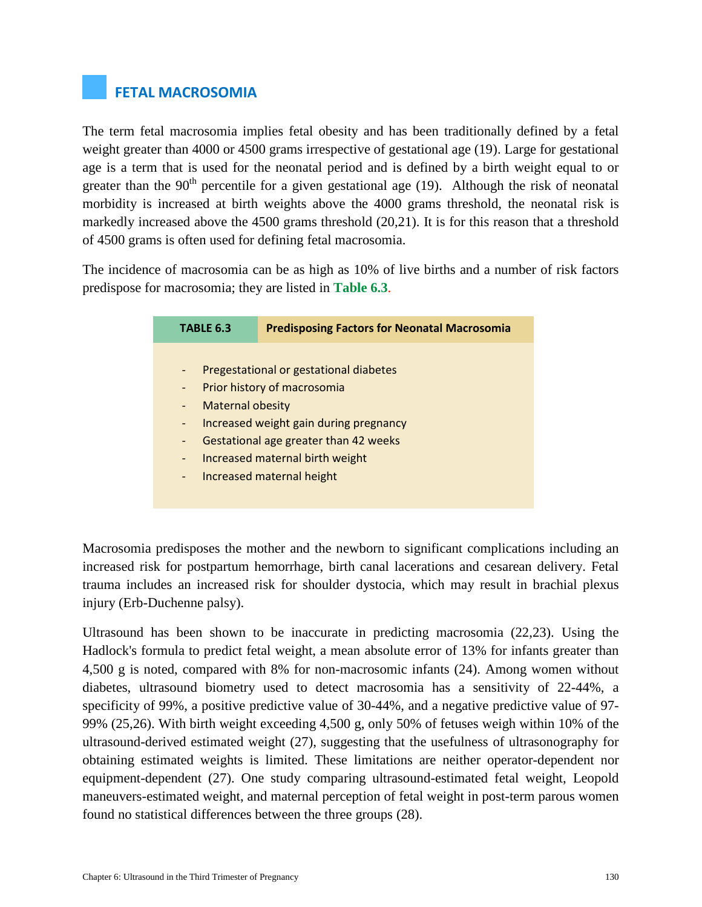## **FETAL MACROSOMIA**

The term fetal macrosomia implies fetal obesity and has been traditionally defined by a fetal weight greater than 4000 or 4500 grams irrespective of gestational age (19). Large for gestational age is a term that is used for the neonatal period and is defined by a birth weight equal to or greater than the  $90<sup>th</sup>$  percentile for a given gestational age (19). Although the risk of neonatal morbidity is increased at birth weights above the 4000 grams threshold, the neonatal risk is markedly increased above the 4500 grams threshold (20,21). It is for this reason that a threshold of 4500 grams is often used for defining fetal macrosomia.

The incidence of macrosomia can be as high as 10% of live births and a number of risk factors predispose for macrosomia; they are listed in **Table 6.3**.

| TABLE 6.3                                           | <b>Predisposing Factors for Neonatal Macrosomia</b> |  |
|-----------------------------------------------------|-----------------------------------------------------|--|
|                                                     |                                                     |  |
| $\overline{\phantom{a}}$                            | Pregestational or gestational diabetes              |  |
| $\overline{\phantom{a}}$                            | Prior history of macrosomia                         |  |
| <b>Maternal obesity</b><br>$\overline{\phantom{a}}$ |                                                     |  |
| $\overline{\phantom{a}}$                            | Increased weight gain during pregnancy              |  |
| $\qquad \qquad \blacksquare$                        | Gestational age greater than 42 weeks               |  |
| -                                                   | Increased maternal birth weight                     |  |
| $\overline{\phantom{a}}$                            | Increased maternal height                           |  |
|                                                     |                                                     |  |

Macrosomia predisposes the mother and the newborn to significant complications including an increased risk for postpartum hemorrhage, birth canal lacerations and cesarean delivery. Fetal trauma includes an increased risk for shoulder dystocia, which may result in brachial plexus injury (Erb-Duchenne palsy).

Ultrasound has been shown to be inaccurate in predicting macrosomia (22,23). Using the Hadlock's formula to predict fetal weight, a mean absolute error of 13% for infants greater than 4,500 g is noted, compared with 8% for non-macrosomic infants (24). Among women without diabetes, ultrasound biometry used to detect macrosomia has a sensitivity of 22-44%, a specificity of 99%, a positive predictive value of 30-44%, and a negative predictive value of 97- 99% (25,26). With birth weight exceeding 4,500 g, only 50% of fetuses weigh within 10% of the ultrasound-derived estimated weight (27), suggesting that the usefulness of ultrasonography for obtaining estimated weights is limited. These limitations are neither operator-dependent nor equipment-dependent (27). One study comparing ultrasound-estimated fetal weight, Leopold maneuvers-estimated weight, and maternal perception of fetal weight in post-term parous women found no statistical differences between the three groups (28).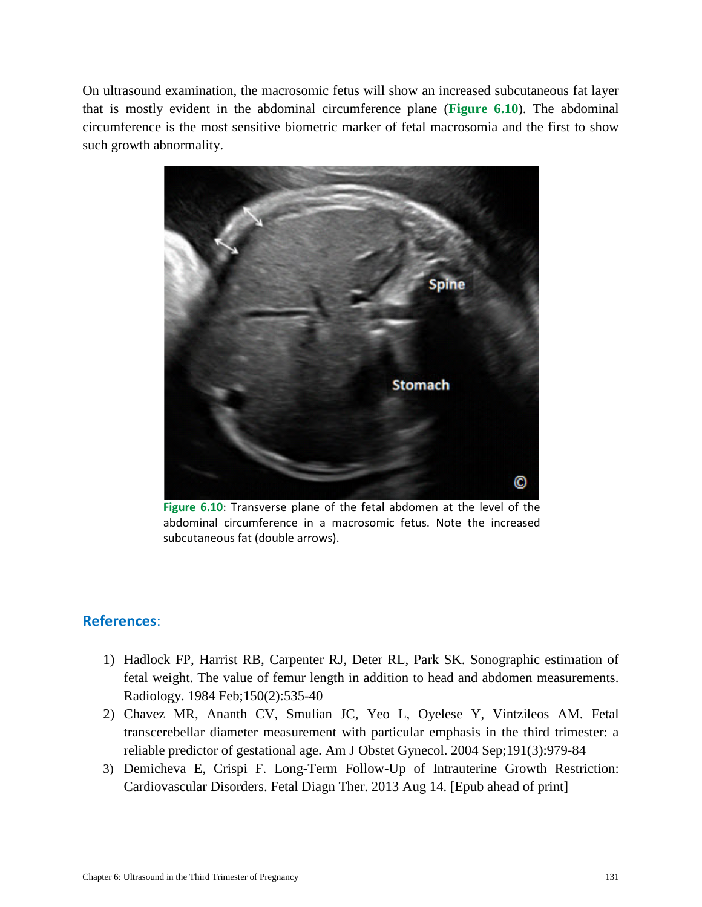On ultrasound examination, the macrosomic fetus will show an increased subcutaneous fat layer that is mostly evident in the abdominal circumference plane (**Figure 6.10**). The abdominal circumference is the most sensitive biometric marker of fetal macrosomia and the first to show such growth abnormality.



**Figure 6.10**: Transverse plane of the fetal abdomen at the level of the abdominal circumference in a macrosomic fetus. Note the increased subcutaneous fat (double arrows).

### **References**:

- 1) Hadlock FP, Harrist RB, Carpenter RJ, Deter RL, Park SK. Sonographic estimation of fetal weight. The value of femur length in addition to head and abdomen measurements. Radiology. 1984 Feb;150(2):535-40
- 2) Chavez MR, Ananth CV, Smulian JC, Yeo L, Oyelese Y, Vintzileos AM. Fetal transcerebellar diameter measurement with particular emphasis in the third trimester: a reliable predictor of gestational age. Am J Obstet Gynecol. 2004 Sep;191(3):979-84
- 3) Demicheva E, Crispi F. Long-Term Follow-Up of Intrauterine Growth Restriction: Cardiovascular Disorders. Fetal Diagn Ther. 2013 Aug 14. [Epub ahead of print]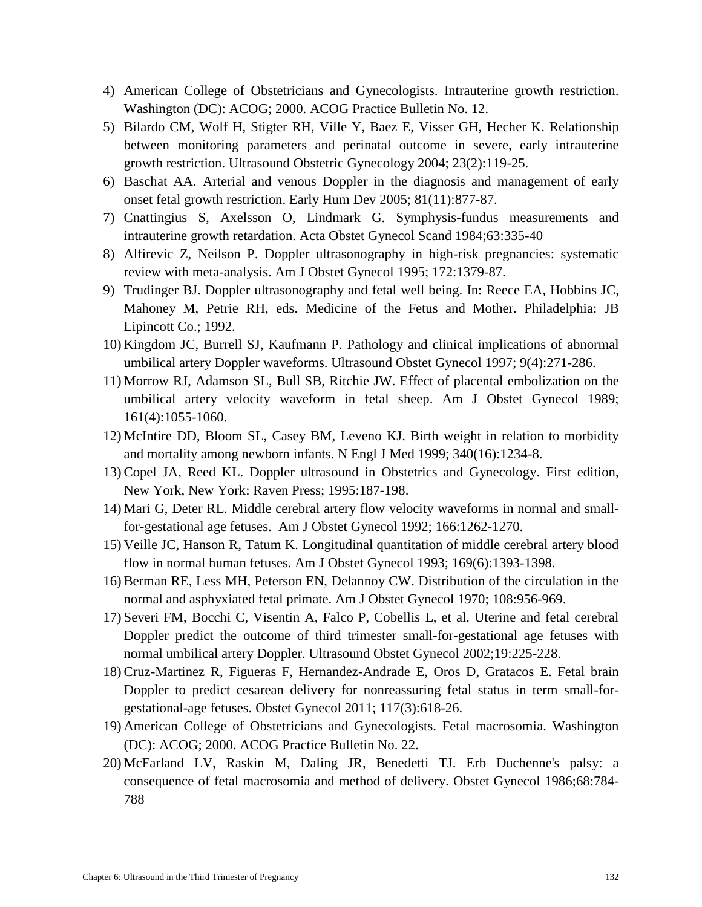- 4) American College of Obstetricians and Gynecologists. Intrauterine growth restriction. Washington (DC): ACOG; 2000. ACOG Practice Bulletin No. 12.
- 5) Bilardo CM, Wolf H, Stigter RH, Ville Y, Baez E, Visser GH, Hecher K. Relationship between monitoring parameters and perinatal outcome in severe, early intrauterine growth restriction. Ultrasound Obstetric Gynecology 2004; 23(2):119-25.
- 6) Baschat AA. Arterial and venous Doppler in the diagnosis and management of early onset fetal growth restriction. Early Hum Dev 2005; 81(11):877-87.
- 7) Cnattingius S, Axelsson O, Lindmark G. Symphysis-fundus measurements and intrauterine growth retardation. Acta Obstet Gynecol Scand 1984;63:335-40
- 8) Alfirevic Z, Neilson P. Doppler ultrasonography in high-risk pregnancies: systematic review with meta-analysis. Am J Obstet Gynecol 1995; 172:1379-87.
- 9) Trudinger BJ. Doppler ultrasonography and fetal well being. In: Reece EA, Hobbins JC, Mahoney M, Petrie RH, eds. Medicine of the Fetus and Mother. Philadelphia: JB Lipincott Co.; 1992.
- 10) Kingdom JC, Burrell SJ, Kaufmann P. Pathology and clinical implications of abnormal umbilical artery Doppler waveforms. Ultrasound Obstet Gynecol 1997; 9(4):271-286.
- 11) Morrow RJ, Adamson SL, Bull SB, Ritchie JW. Effect of placental embolization on the umbilical artery velocity waveform in fetal sheep. Am J Obstet Gynecol 1989; 161(4):1055-1060.
- 12) McIntire DD, Bloom SL, Casey BM, Leveno KJ. Birth weight in relation to morbidity and mortality among newborn infants. N Engl J Med 1999; 340(16):1234-8.
- 13) Copel JA, Reed KL. Doppler ultrasound in Obstetrics and Gynecology. First edition, New York, New York: Raven Press; 1995:187-198.
- 14) Mari G, Deter RL. Middle cerebral artery flow velocity waveforms in normal and smallfor-gestational age fetuses. Am J Obstet Gynecol 1992; 166:1262-1270.
- 15) Veille JC, Hanson R, Tatum K. Longitudinal quantitation of middle cerebral artery blood flow in normal human fetuses. Am J Obstet Gynecol 1993; 169(6):1393-1398.
- 16) Berman RE, Less MH, Peterson EN, Delannoy CW. Distribution of the circulation in the normal and asphyxiated fetal primate. Am J Obstet Gynecol 1970; 108:956-969.
- 17) Severi FM, Bocchi C, Visentin A, Falco P, Cobellis L, et al. Uterine and fetal cerebral Doppler predict the outcome of third trimester small-for-gestational age fetuses with normal umbilical artery Doppler. Ultrasound Obstet Gynecol 2002;19:225-228.
- 18) Cruz-Martinez R, Figueras F, Hernandez-Andrade E, Oros D, Gratacos E. Fetal brain Doppler to predict cesarean delivery for nonreassuring fetal status in term small-forgestational-age fetuses. Obstet Gynecol 2011; 117(3):618-26.
- 19) American College of Obstetricians and Gynecologists. Fetal macrosomia. Washington (DC): ACOG; 2000. ACOG Practice Bulletin No. 22.
- 20) McFarland LV, Raskin M, Daling JR, Benedetti TJ. Erb Duchenne's palsy: a consequence of fetal macrosomia and method of delivery. Obstet Gynecol 1986;68:784- 788